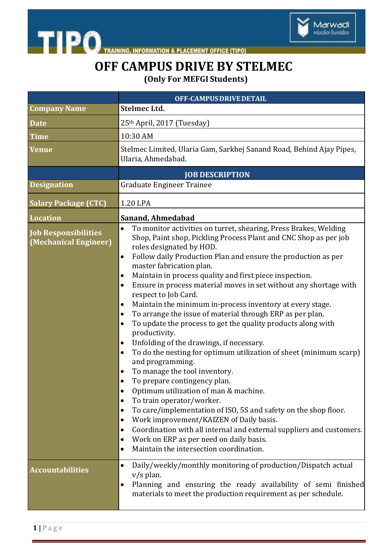

THE PO TRAINING, INFORMATION & PLACEMENT OFFICE [TIPO]

## **OFF CAMPUS DRIVE BY STELMEC**

**(Only For MEFGI Students)**

|                                                      | OFF-CAMPUS DRIVE DETAIL                                                                                                                                                                                                                                                                                                                                                                                                                                                                                                                                                                                                                                                                                                                                                                                                                                                                                                                                                                                                                                                                                                                                                                                                                                                                                                                                             |  |
|------------------------------------------------------|---------------------------------------------------------------------------------------------------------------------------------------------------------------------------------------------------------------------------------------------------------------------------------------------------------------------------------------------------------------------------------------------------------------------------------------------------------------------------------------------------------------------------------------------------------------------------------------------------------------------------------------------------------------------------------------------------------------------------------------------------------------------------------------------------------------------------------------------------------------------------------------------------------------------------------------------------------------------------------------------------------------------------------------------------------------------------------------------------------------------------------------------------------------------------------------------------------------------------------------------------------------------------------------------------------------------------------------------------------------------|--|
| <b>Company Name</b>                                  | <b>Stelmec Ltd.</b>                                                                                                                                                                                                                                                                                                                                                                                                                                                                                                                                                                                                                                                                                                                                                                                                                                                                                                                                                                                                                                                                                                                                                                                                                                                                                                                                                 |  |
| <b>Date</b>                                          | 25th April, 2017 (Tuesday)                                                                                                                                                                                                                                                                                                                                                                                                                                                                                                                                                                                                                                                                                                                                                                                                                                                                                                                                                                                                                                                                                                                                                                                                                                                                                                                                          |  |
| Time                                                 | 10:30 AM                                                                                                                                                                                                                                                                                                                                                                                                                                                                                                                                                                                                                                                                                                                                                                                                                                                                                                                                                                                                                                                                                                                                                                                                                                                                                                                                                            |  |
| Venue                                                | Stelmec Limited, Ularia Gam, Sarkhej Sanand Road, Behind Ajay Pipes,<br>Ularia, Ahmedabad.                                                                                                                                                                                                                                                                                                                                                                                                                                                                                                                                                                                                                                                                                                                                                                                                                                                                                                                                                                                                                                                                                                                                                                                                                                                                          |  |
|                                                      | <b>JOB DESCRIPTION</b>                                                                                                                                                                                                                                                                                                                                                                                                                                                                                                                                                                                                                                                                                                                                                                                                                                                                                                                                                                                                                                                                                                                                                                                                                                                                                                                                              |  |
| <b>Designation</b>                                   | <b>Graduate Engineer Trainee</b>                                                                                                                                                                                                                                                                                                                                                                                                                                                                                                                                                                                                                                                                                                                                                                                                                                                                                                                                                                                                                                                                                                                                                                                                                                                                                                                                    |  |
| <b>Salary Package (CTC)</b>                          | 1.20 LPA                                                                                                                                                                                                                                                                                                                                                                                                                                                                                                                                                                                                                                                                                                                                                                                                                                                                                                                                                                                                                                                                                                                                                                                                                                                                                                                                                            |  |
| <b>Location</b>                                      | Sanand, Ahmedabad                                                                                                                                                                                                                                                                                                                                                                                                                                                                                                                                                                                                                                                                                                                                                                                                                                                                                                                                                                                                                                                                                                                                                                                                                                                                                                                                                   |  |
| <b>Job Responsibilities</b><br>(Mechanical Engineer) | To monitor activities on turret, shearing, Press Brakes, Welding<br>$\bullet$<br>Shop, Paint shop, Pickling Process Plant and CNC Shop as per job<br>roles designated by HOD.<br>Follow daily Production Plan and ensure the production as per<br>$\bullet$<br>master fabrication plan.<br>Maintain in process quality and first piece inspection.<br>٠<br>Ensure in process material moves in set without any shortage with<br>$\bullet$<br>respect to Job Card.<br>Maintain the minimum in-process inventory at every stage.<br>٠<br>To arrange the issue of material through ERP as per plan.<br>٠<br>To update the process to get the quality products along with<br>٠<br>productivity.<br>Unfolding of the drawings, if necessary.<br>٠<br>To do the nesting for optimum utilization of sheet (minimum scarp)<br>$\bullet$<br>and programming.<br>To manage the tool inventory.<br>٠<br>To prepare contingency plan.<br>$\bullet$<br>Optimum utilization of man & machine.<br>$\bullet$<br>To train operator/worker.<br>$\bullet$<br>To care/implementation of ISO, 5S and safety on the shop floor.<br>٠<br>Work improvement/KAIZEN of Daily basis.<br>٠<br>Coordination with all internal and external suppliers and customers.<br>$\bullet$<br>Work on ERP as per need on daily basis.<br>$\bullet$<br>Maintain the intersection coordination.<br>$\bullet$ |  |
| <b>Accountabilities</b>                              | Daily/weekly/monthly monitoring of production/Dispatch actual<br>٠<br>$v/s$ plan.<br>Planning and ensuring the ready availability of semi finished<br>$\bullet$<br>materials to meet the production requirement as per schedule.                                                                                                                                                                                                                                                                                                                                                                                                                                                                                                                                                                                                                                                                                                                                                                                                                                                                                                                                                                                                                                                                                                                                    |  |
|                                                      |                                                                                                                                                                                                                                                                                                                                                                                                                                                                                                                                                                                                                                                                                                                                                                                                                                                                                                                                                                                                                                                                                                                                                                                                                                                                                                                                                                     |  |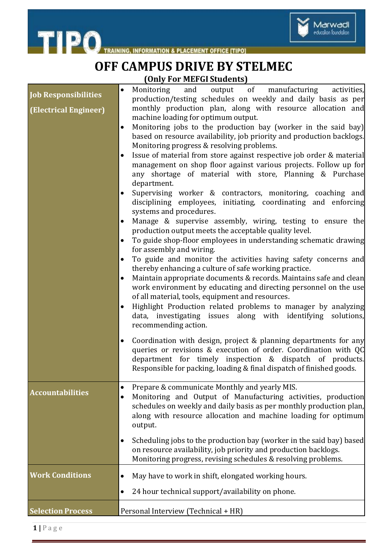

THE PO TRAINING, INFORMATION & PLACEMENT OFFICE [TIPO]

## **OFF CAMPUS DRIVE BY STELMEC (Only For MEFGI Students)**

|                             | $\bullet$ | output of manufacturing<br>Monitoring<br>and<br>activities,                                                                             |
|-----------------------------|-----------|-----------------------------------------------------------------------------------------------------------------------------------------|
| <b>Job Responsibilities</b> |           | production/testing schedules on weekly and daily basis as per                                                                           |
| (Electrical Engineer)       |           | monthly production plan, along with resource allocation and                                                                             |
|                             | ٠         | machine loading for optimum output.<br>Monitoring jobs to the production bay (worker in the said bay)                                   |
|                             |           | based on resource availability, job priority and production backlogs.                                                                   |
|                             |           | Monitoring progress & resolving problems.                                                                                               |
|                             | $\bullet$ | Issue of material from store against respective job order & material                                                                    |
|                             |           | management on shop floor against various projects. Follow up for                                                                        |
|                             |           | any shortage of material with store, Planning & Purchase                                                                                |
|                             |           | department.                                                                                                                             |
|                             |           | Supervising worker & contractors, monitoring, coaching and                                                                              |
|                             |           | disciplining employees, initiating, coordinating and enforcing<br>systems and procedures.                                               |
|                             | ٠         | Manage & supervise assembly, wiring, testing to ensure the                                                                              |
|                             |           | production output meets the acceptable quality level.                                                                                   |
|                             | $\bullet$ | To guide shop-floor employees in understanding schematic drawing                                                                        |
|                             |           | for assembly and wiring.                                                                                                                |
|                             | $\bullet$ | To guide and monitor the activities having safety concerns and                                                                          |
|                             |           | thereby enhancing a culture of safe working practice.                                                                                   |
|                             | $\bullet$ | Maintain appropriate documents & records. Maintains safe and clean                                                                      |
|                             |           | work environment by educating and directing personnel on the use<br>of all material, tools, equipment and resources.                    |
|                             | $\bullet$ | Highlight Production related problems to manager by analyzing                                                                           |
|                             |           | data, investigating issues along with identifying<br>solutions,                                                                         |
|                             |           | recommending action.                                                                                                                    |
|                             | $\bullet$ | Coordination with design, project & planning departments for any                                                                        |
|                             |           | queries or revisions & execution of order. Coordination with QC                                                                         |
|                             |           | department for timely inspection & dispatch of products.                                                                                |
|                             |           | Responsible for packing, loading & final dispatch of finished goods.                                                                    |
|                             |           |                                                                                                                                         |
| <b>Accountabilities</b>     | ٠         | Prepare & communicate Monthly and yearly MIS.                                                                                           |
|                             |           | Monitoring and Output of Manufacturing activities, production<br>schedules on weekly and daily basis as per monthly production plan,    |
|                             |           | along with resource allocation and machine loading for optimum                                                                          |
|                             |           | output.                                                                                                                                 |
|                             |           |                                                                                                                                         |
|                             | $\bullet$ | Scheduling jobs to the production bay (worker in the said bay) based<br>on resource availability, job priority and production backlogs. |
|                             |           | Monitoring progress, revising schedules & resolving problems.                                                                           |
|                             |           |                                                                                                                                         |
| <b>Work Conditions</b>      | ٠         | May have to work in shift, elongated working hours.                                                                                     |
|                             | $\bullet$ | 24 hour technical support/availability on phone.                                                                                        |
| <b>Selection Process</b>    |           | Personal Interview (Technical + HR)                                                                                                     |
|                             |           |                                                                                                                                         |